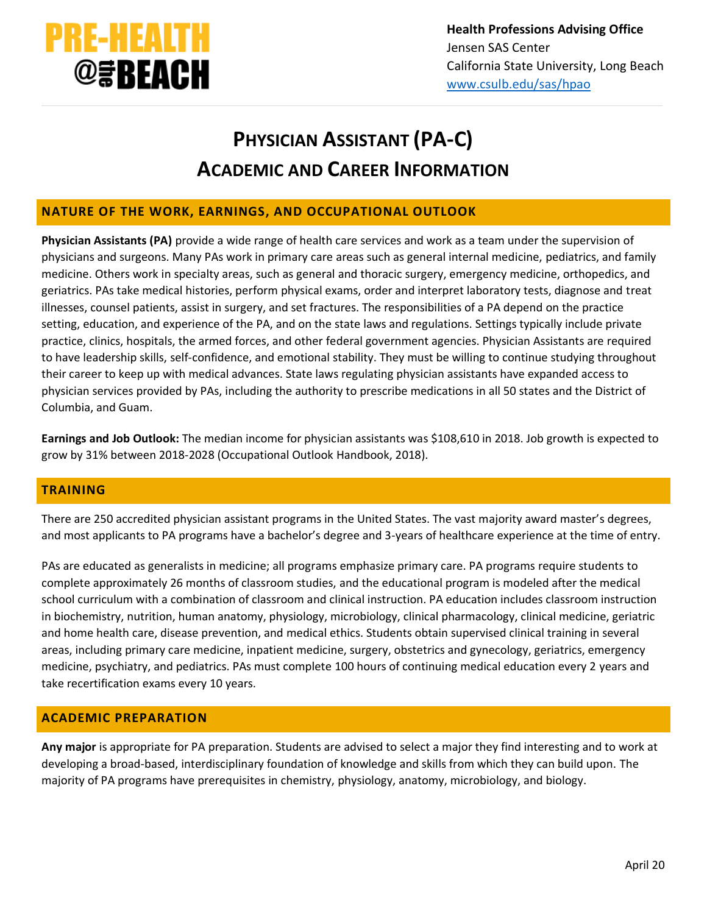

# **PHYSICIAN ASSISTANT (PA-C) ACADEMIC AND CAREER INFORMATION**

## **NATURE OF THE WORK, EARNINGS, AND OCCUPATIONAL OUTLOOK**

**Physician Assistants (PA)** provide a wide range of health care services and work as a team under the supervision of physicians and surgeons. Many PAs work in primary care areas such as general internal medicine, pediatrics, and family medicine. Others work in specialty areas, such as general and thoracic surgery, emergency medicine, orthopedics, and geriatrics. PAs take medical histories, perform physical exams, order and interpret laboratory tests, diagnose and treat illnesses, counsel patients, assist in surgery, and set fractures. The responsibilities of a PA depend on the practice setting, education, and experience of the PA, and on the state laws and regulations. Settings typically include private practice, clinics, hospitals, the armed forces, and other federal government agencies. Physician Assistants are required to have leadership skills, self‐confidence, and emotional stability. They must be willing to continue studying throughout their career to keep up with medical advances. State laws regulating physician assistants have expanded access to physician services provided by PAs, including the authority to prescribe medications in all 50 states and the District of Columbia, and Guam.

**Earnings and Job Outlook:** The median income for physician assistants was \$108,610 in 2018. Job growth is expected to grow by 31% between 2018-2028 (Occupational Outlook Handbook, 2018).

## **TRAINING**

There are 250 accredited physician assistant programs in the United States. The vast majority award master's degrees, and most applicants to PA programs have a bachelor's degree and 3-years of healthcare experience at the time of entry.

PAs are educated as generalists in medicine; all programs emphasize primary care. PA programs require students to complete approximately 26 months of classroom studies, and the educational program is modeled after the medical school curriculum with a combination of classroom and clinical instruction. PA education includes classroom instruction in biochemistry, nutrition, human anatomy, physiology, microbiology, clinical pharmacology, clinical medicine, geriatric and home health care, disease prevention, and medical ethics. Students obtain supervised clinical training in several areas, including primary care medicine, inpatient medicine, surgery, obstetrics and gynecology, geriatrics, emergency medicine, psychiatry, and pediatrics. PAs must complete 100 hours of continuing medical education every 2 years and take recertification exams every 10 years.

## **ACADEMIC PREPARATION**

**Any major** is appropriate for PA preparation. Students are advised to select a major they find interesting and to work at developing a broad‐based, interdisciplinary foundation of knowledge and skills from which they can build upon. The majority of PA programs have prerequisites in chemistry, physiology, anatomy, microbiology, and biology.